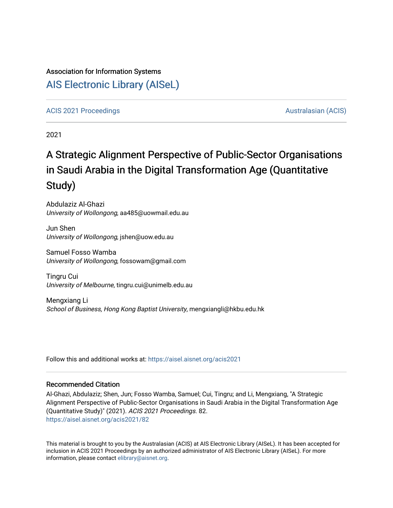#### Association for Information Systems

# [AIS Electronic Library \(AISeL\)](https://aisel.aisnet.org/)

#### [ACIS 2021 Proceedings](https://aisel.aisnet.org/acis2021) [Australasian \(ACIS\)](https://aisel.aisnet.org/acis) Australasian (ACIS)

2021

# A Strategic Alignment Perspective of Public-Sector Organisations in Saudi Arabia in the Digital Transformation Age (Quantitative Study)

Abdulaziz Al-Ghazi University of Wollongong, aa485@uowmail.edu.au

Jun Shen University of Wollongong, jshen@uow.edu.au

Samuel Fosso Wamba University of Wollongong, fossowam@gmail.com

Tingru Cui University of Melbourne, tingru.cui@unimelb.edu.au

Mengxiang Li School of Business, Hong Kong Baptist University, mengxiangli@hkbu.edu.hk

Follow this and additional works at: [https://aisel.aisnet.org/acis2021](https://aisel.aisnet.org/acis2021?utm_source=aisel.aisnet.org%2Facis2021%2F82&utm_medium=PDF&utm_campaign=PDFCoverPages) 

#### Recommended Citation

Al-Ghazi, Abdulaziz; Shen, Jun; Fosso Wamba, Samuel; Cui, Tingru; and Li, Mengxiang, "A Strategic Alignment Perspective of Public-Sector Organisations in Saudi Arabia in the Digital Transformation Age (Quantitative Study)" (2021). ACIS 2021 Proceedings. 82. [https://aisel.aisnet.org/acis2021/82](https://aisel.aisnet.org/acis2021/82?utm_source=aisel.aisnet.org%2Facis2021%2F82&utm_medium=PDF&utm_campaign=PDFCoverPages)

This material is brought to you by the Australasian (ACIS) at AIS Electronic Library (AISeL). It has been accepted for inclusion in ACIS 2021 Proceedings by an authorized administrator of AIS Electronic Library (AISeL). For more information, please contact [elibrary@aisnet.org.](mailto:elibrary@aisnet.org%3E)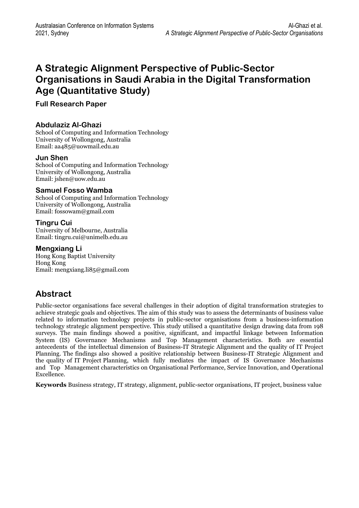# **A Strategic Alignment Perspective of Public-Sector Organisations in Saudi Arabia in the Digital Transformation Age (Quantitative Study)**

**Full Research Paper** 

#### **Abdulaziz Al-Ghazi**

School of Computing and Information Technology University of Wollongong, Australia Email: [aa485@uowmail.edu.au](mailto:aa485@uowmail.edu.au) 

#### **Jun Shen**

School of Computing and Information Technology University of Wollongong, Australia Email: jshen@uow.edu.au

#### **Samuel [Fosso Wamb](mailto:jshen@uow.edu.au)a**

School of Computing and Information Technology University of Wollongong, Australia Email: fossowam@gmail.com

#### **Ting[ru Cui](mailto:fossowam@gmail.com)**

University of Melbourne, Australia Email: tingru.cui@unimelb.edu.au

#### **Mengxiang Li**

Hong [Kong Baptist University](mailto:tingru.cui@unimelb.edu.au)  Hong Kong Email: mengxiang.li85@gmail.com

# **Abs[tract](mailto:mengxiang.li85@gmail.com)**

Public-sector organisations face several challenges in their adoption of digital transformation strategies to achieve strategic goals and objectives. The aim of this study was to assess the determinants of business value related to information technology projects in public-sector organisations from a business-information technology strategic alignment perspective. This study utilised a quantitative design drawing data from 198 surveys. The main findings showed a positive, significant, and impactful linkage between Information System (IS) Governance Mechanisms and Top Management characteristics. Both are essential antecedents of the intellectual dimension of Business-IT Strategic Alignment and the quality of IT Project Planning. The findings also showed a positive relationship between Business-IT Strategic Alignment and the quality of IT Project Planning, which fully mediates the impact of IS Governance Mechanisms and Top Management characteristics on Organisational Performance, Service Innovation, and Operational Excellence.

**Keywords** Business strategy, IT strategy, alignment, public-sector organisations, IT project, business value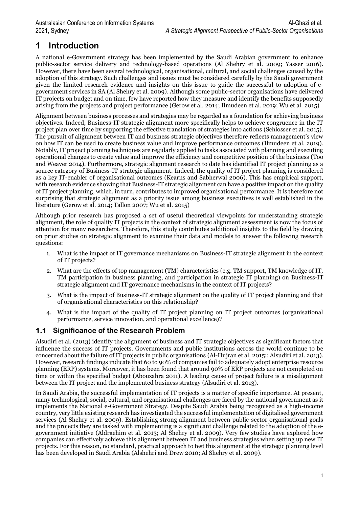# **1 Introduction**

A national e-Government strategy has been implemented by the Saudi Arabian government to enhance public-sector service delivery and technology-based operations (Al Shehry et al. 2009; Yasser 2016). However, there have been several technological, organisational, cultural, and social challenges caused by the adoption of this strategy. Such challenges and issues must be considered carefully by the Saudi government given the limited research evidence and insights on this issue to guide the successful to adoption of egovernment services in SA (Al Shehry et al. 2009). Although some public-sector organisations have delivered IT projects on budget and on time, few have reported how they measure and identify the benefits supposedly arising from the projects and project performance (Gerow et al. 2014; Ilmudeen et al. 2019; Wu et al. 2015)

Alignment between business processes and strategies may be regarded as a foundation for achieving business objectives. Indeed, Business-IT strategic alignment more specifically helps to achieve congruence in the IT project plan over time by supporting the effective translation of strategies into actions (Schlosser et al. 2015). The pursuit of alignment between IT and business strategic objectives therefore reflects management's view on how IT can be used to create business value and improve performance outcomes (Ilmudeen et al. 2019). Notably, IT project planning techniques are regularly applied to tasks associated with planning and executing operational changes to create value and improve the efficiency and competitive position of the business (Too and Weaver 2014). Furthermore, strategic alignment research to date has identified IT project planning as a source category of Business-IT strategic alignment. Indeed, the quality of IT project planning is considered as a key IT-enabler of organisational outcomes (Kearns and Sabherwal 2006). This has empirical support, with research evidence showing that Business-IT strategic alignment can have a positive impact on the quality of IT project planning, which, in turn, contributes to improved organisational performance. It is therefore not surprising that strategic alignment as a priority issue among business executives is well established in the literature (Gerow et al. 2014; Tallon 2007; Wu et al. 2015)

Although prior research has proposed a set of useful theoretical viewpoints for understanding strategic alignment, the role of quality IT projects in the context of strategic alignment assessment is now the focus of attention for many researchers. Therefore, this study contributes additional insights to the field by drawing on prior studies on strategic alignment to examine their data and models to answer the following research questions:

- 1. What is the impact of IT governance mechanisms on Business-IT strategic alignment in the context of IT projects?
- 2. What are the effects of top management (TM) characteristics (e.g. TM support, TM knowledge of IT, TM participation in business planning, and participation in strategic IT planning) on Business-IT strategic alignment and IT governance mechanisms in the context of IT projects?
- 3. What is the impact of Business-IT strategic alignment on the quality of IT project planning and that of organisational characteristics on this relationship?
- 4. What is the impact of the quality of IT project planning on IT project outcomes (organisational performance, service innovation, and operational excellence)?

### **1.1 Significance of the Research Problem**

Alsudiri et al. (2013) identify the alignment of business and IT strategic objectives as significant factors that influence the success of IT projects. Governments and public institutions across the world continue to be concerned about the failure of IT projects in public organisations (Al-Hujran et al. 2015;; Alsudiri et al. 2013). However, research findings indicate that 60 to 90% of companies fail to adequately adopt enterprise resource planning (ERP) systems. Moreover, it has been found that around 90% of ERP projects are not completed on time or within the specified budget (Abouzahra 2011). A leading cause of project failure is a misalignment between the IT project and the implemented business strategy (Alsudiri et al. 2013).

In Saudi Arabia, the successful implementation of IT projects is a matter of specific importance. At present, many technological, social, cultural, and organisational challenges are faced by the national government as it implements the National e-Government Strategy. Despite Saudi Arabia being recognised as a high-income country, very little existing research has investigated the successful implementation of digitalised government services (Al Shehry et al. 2009). Establishing strong alignment between public-sector organisational goals and the projects they are tasked with implementing is a significant challenge related to the adoption of the egovernment initiative (Aldraehim et al. 2013; Al Shehry et al. 2009). Very few studies have explored how companies can effectively achieve this alignment between IT and business strategies when setting up new IT projects. For this reason, no standard, practical approach to test this alignment at the strategic planning level has been developed in Saudi Arabia (Alshehri and Drew 2010; Al Shehry et al. 2009).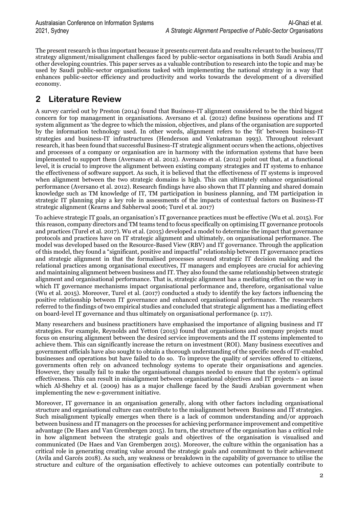The present research is thus important because it presents current data and results relevant to the business/IT strategy alignment/misalignment challenges faced by public-sector organisations in both Saudi Arabia and other developing countries. This paper serves as a valuable contribution to research into the topic and may be used by Saudi public-sector organisations tasked with implementing the national strategy in a way that enhances public-sector efficiency and productivity and works towards the development of a diversified economy.

# **2 Literature Review**

A survey carried out by Preston (2014) found that Business-IT alignment considered to be the third biggest concern for top management in organisations. Aversano et al. (2012) define business operations and IT system alignment as 'the degree to which the mission, objectives, and plans of the organisation are supported by the information technology used. In other words, alignment refers to the 'fit' between business-IT strategies and business-IT infrastructures (Henderson and Venkatraman 1993). Throughout relevant research, it has been found that successful Business-IT strategic alignment occurs when the actions, objectives and processes of a company or organisation are in harmony with the information systems that have been implemented to support them (Aversano et al. 2012). Aversano et al. (2012) point out that, at a functional level, it is crucial to improve the alignment between existing company strategies and IT systems to enhance the effectiveness of software support. As such, it is believed that the effectiveness of IT systems is improved when alignment between the two strategic domains is high. This can ultimately enhance organisational performance (Aversano et al. 2012). Research findings have also shown that IT planning and shared domain knowledge such as TM knowledge of IT, TM participation in business planning, and TM participation in strategic IT planning play a key role in assessments of the impacts of contextual factors on Business-IT strategic alignment (Kearns and Sabherwal 2006; Turel et al. 2017)

To achieve strategic IT goals, an organisation's IT governance practices must be effective (Wu et al. 2015). For this reason, company directors and TM teams tend to focus specifically on optimising IT governance protocols and practices (Turel et al. 2017). Wu et al. (2015) developed a model to determine the impact that governance protocols and practices have on IT strategic alignment and ultimately, on organisational performance. The model was developed based on the Resource-Based View (RBV) and IT governance. Through the application of this model, they found a "significant, positive and impactful" relationship between IT governance practices and strategic alignment in that the formalised processes around strategic IT decision making and the relational practices among organisational executives, IT managers and employees are crucial for achieving and maintaining alignment between business and IT. They also found the same relationship between strategic alignment and organisational performance. That is, strategic alignment has a mediating effect on the way in which IT governance mechanisms impact organisational performance and, therefore, organisational value (Wu et al. 2015). Moreover, Turel et al. (2017) conducted a study to identify the key factors influencing the positive relationship between IT governance and enhanced organisational performance. The researchers referred to the findings of two empirical studies and concluded that strategic alignment has a mediating effect on board-level IT governance and thus ultimately on organisational performance (p. 117).

Many researchers and business practitioners have emphasised the importance of aligning business and IT strategies. For example, Reynolds and Yetton (2015) found that organisations and company projects must focus on ensuring alignment between the desired service improvements and the IT systems implemented to achieve them. This can significantly increase the return on investment (ROI). Many business executives and government officials have also sought to obtain a thorough understanding of the specific needs of IT-enabled businesses and operations but have failed to do so. To improve the quality of services offered to citizens, governments often rely on advanced technology systems to operate their organisations and agencies. However, they usually fail to make the organisational changes needed to ensure that the system's optimal effectiveness. This can result in misalignment between organisational objectives and IT projects – an issue which Al-Shehry et al. (2009) has as a major challenge faced by the Saudi Arabian government when implementing the new e-government initiative.

Moreover, IT governance in an organisation generally, along with other factors including organisational structure and organisational culture can contribute to the misalignment between Business and IT strategies. Such misalignment typically emerges when there is a lack of common understanding and/or approach between business and IT managers on the processes for achieving performance improvement and competitive advantage (De Haes and Van Grembergen 2015). In turn, the structure of the organisation has a critical role in how alignment between the strategic goals and objectives of the organisation is visualised and communicated (De Haes and Van Grembergen 2015). Moreover, the culture within the organisation has a critical role in generating creating value around the strategic goals and commitment to their achievement (Avila and Garcés 2018). As such, any weakness or breakdown in the capability of governance to utilise the structure and culture of the organisation effectively to achieve outcomes can potentially contribute to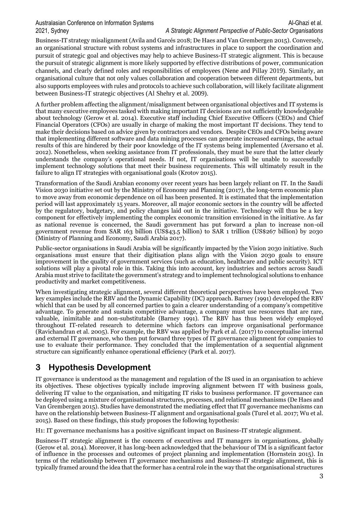Business-IT strategy misalignment (Avila and Garcés 2018; De Haes and Van Grembergen 2015). Conversely, an organisational structure with robust systems and infrastructures in place to support the coordination and pursuit of strategic goal and objectives may help to achieve Business-IT strategic alignment. This is because the pursuit of strategic alignment is more likely supported by effective distributions of power, communication channels, and clearly defined roles and responsibilities of employees (Nene and Pillay 2019). Similarly, an organisational culture that not only values collaboration and cooperation between different departments, but also supports employees with rules and protocols to achieve such collaboration, will likely facilitate alignment between Business-IT strategic objectives (Al Shehry et al. 2009).

A further problem affecting the alignment/misalignment between organisational objectives and IT systems is that many executive employees tasked with making important IT decisions are not sufficiently knowledgeable about technology (Gerow et al. 2014). Executive staff including Chief Executive Officers (CEOs) and Chief Financial Operators (CFOs) are usually in charge of making the most important IT decisions. They tend to make their decisions based on advice given by contractors and vendors. Despite CEOs and CFOs being aware that implementing different software and data mining processes can generate increased earnings, the actual results of this are hindered by their poor knowledge of the IT systems being implemented (Aversano et al. 2012). Nonetheless, when seeking assistance from IT professionals, they must be sure that the latter clearly understands the company's operational needs. If not, IT organisations will be unable to successfully implement technology solutions that meet their business requirements. This will ultimately result in the failure to align IT strategies with organisational goals (Krotov 2015).

Transformation of the Saudi Arabian economy over recent years has been largely reliant on IT. In the Saudi Vision 2030 initiative set out by the Ministry of Economy and Planning (2017), the long-term economic plan to move away from economic dependence on oil has been presented. It is estimated that the implementation period will last approximately 15 years. Moreover, all major economic sectors in the country will be affected by the regulatory, budgetary, and policy changes laid out in the initiative. Technology will thus be a key component for effectively implementing the complex economic transition envisioned in the initiative. As far as national revenue is concerned, the Saudi government has put forward a plan to increase non-oil government revenue from SAR 163 billion (US\$43.5 billion) to SAR 1 trillion (US\$267 billion) by 2030 (Ministry of Planning and Economy, Saudi Arabia 2017).

Public-sector organisations in Saudi Arabia will be significantly impacted by the Vision 2030 initiative. Such organisations must ensure that their digitisation plans align with the Vision 2030 goals to ensure improvement in the quality of government services (such as education, healthcare and public security). ICT solutions will play a pivotal role in this. Taking this into account, key industries and sectors across Saudi Arabia must strive to facilitate the government's strategy and to implement technological solutions to enhance productivity and market competitiveness.

When investigating strategic alignment, several different theoretical perspectives have been employed. Two key examples include the RBV and the Dynamic Capability (DC) approach. Barney (1991) developed the RBV whichl that can be used by all concerned parties to gain a clearer understanding of a company's competitive advantage. To generate and sustain competitive advantage, a company must use resources that are rare, valuable, inimitable and non-substitutable (Barney 1991). The RBV has thus been widely employed throughout IT-related research to determine which factors can improve organisational performance (Ravichandran et al. 2005). For example, the RBV was applied by Park et al. (2017) to conceptualise internal and external IT governance, who then put forward three types of IT governance alignment for companies to use to evaluate their performance. They concluded that the implementation of a sequential alignment structure can significantly enhance operational efficiency (Park et al. 2017).

# **3 Hypothesis Development**

IT governance is understood as the management and regulation of the IS used in an organisation to achieve its objectives. These objectives typically include improving alignment between IT with business goals, delivering IT value to the organisation, and mitigating IT risks to business performance. IT governance can be deployed using a mixture of organisational structures, processes, and relational mechanisms (De Haes and Van Grembergen 2015). Studies have demonstrated the mediating effect that IT governance mechanisms can have on the relationship between Business-IT alignment and organisational goals (Turel et al. 2017; Wu et al. 2015). Based on these findings, this study proposes the following hypothesis:

H1: IT governance mechanisms has a positive significant impact on Business-IT strategic alignment.

Business-IT strategic alignment is the concern of executives and IT managers in organisations, globally (Gerow et al. 2014). Moreover, it has long-been acknowledged that the behaviour of TM is a significant factor of influence in the processes and outcomes of project planning and implementation (Hornstein 2015). In terms of the relationship between IT governance mechanisms and Business-IT strategic alignment, this is typically framed around the idea that the former has a central role in the way that the organisational structures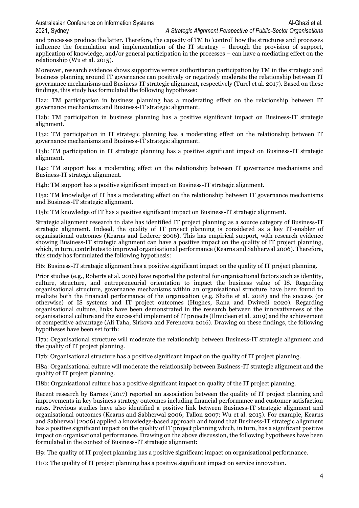Australasian Conference on Information Systems Al-Ghazi et al. Al-Ghazi et al. 2021, Sydney *A Strategic Alignment Perspective of Public-Sector Organisations*

and processes produce the latter. Therefore, the capacity of TM to 'control' how the structures and processes influence the formulation and implementation of the IT strategy – through the provision of support, application of knowledge, and/or general participation in the processes – can have a mediating effect on the relationship (Wu et al. 2015).

Moreover, research evidence shows supportive versus authoritarian participation by TM in the strategic and business planning around IT governance can positively or negatively moderate the relationship between IT governance mechanisms and Business-IT strategic alignment, respectively (Turel et al. 2017). Based on these findings, this study has formulated the following hypotheses:

H2a: TM participation in business planning has a moderating effect on the relationship between IT governance mechanisms and Business-IT strategic alignment.

H2b: TM participation in business planning has a positive significant impact on Business-IT strategic alignment.

H3a: TM participation in IT strategic planning has a moderating effect on the relationship between IT governance mechanisms and Business-IT strategic alignment.

H3b: TM participation in IT strategic planning has a positive significant impact on Business-IT strategic alignment.

H4a: TM support has a moderating effect on the relationship between IT governance mechanisms and Business-IT strategic alignment.

H4b: TM support has a positive significant impact on Business-IT strategic alignment.

H5a: TM knowledge of IT has a moderating effect on the relationship between IT governance mechanisms and Business-IT strategic alignment.

H5b: TM knowledge of IT has a positive significant impact on Business-IT strategic alignment.

Strategic alignment research to date has identified IT project planning as a source category of Business-IT strategic alignment. Indeed, the quality of IT project planning is considered as a key IT-enabler of organisational outcomes (Kearns and Lederer 2006). This has empirical support, with research evidence showing Business-IT strategic alignment can have a positive impact on the quality of IT project planning, which, in turn, contributes to improved organisational performance (Kearns and Sabherwal 2006). Therefore, this study has formulated the following hypothesis:

H6: Business-IT strategic alignment has a positive significant impact on the quality of IT project planning.

Prior studies (e.g., Roberts et al. 2016) have reported the potential for organisational factors such as identity, culture, structure, and entrepreneurial orientation to impact the business value of IS. Regarding organisational structure, governance mechanisms within an organisational structure have been found to mediate both the financial performance of the organisation (e.g. Shafie et al. 2018) and the success (or otherwise) of IS systems and IT project outcomes (Hughes, Rana and Dwivedi 2020). Regarding organisational culture, links have been demonstrated in the research between the innovativeness of the organisational culture and the successful implement of IT projects (Ilmudeen et al. 2019) and the achievement of competitive advantage (Ali Taha, Sirkova and Ferencova 2016). Drawing on these findings, the following hypotheses have been set forth:

H7a: Organisational structure will moderate the relationship between Business-IT strategic alignment and the quality of IT project planning.

H7b: Organisational structure has a positive significant impact on the quality of IT project planning.

H8a: Organisational culture will moderate the relationship between Business-IT strategic alignment and the quality of IT project planning.

H8b: Organisational culture has a positive significant impact on quality of the IT project planning.

Recent research by Barnes (2017) reported an association between the quality of IT project planning and improvements in key business strategy outcomes including financial performance and customer satisfaction rates. Previous studies have also identified a positive link between Business-IT strategic alignment and organisational outcomes (Kearns and Sabherwal 2006; Tallon 2007; Wu et al. 2015). For example, Kearns and Sabherwal (2006) applied a knowledge-based approach and found that Business-IT strategic alignment has a positive significant impact on the quality of IT project planning which, in turn, has a significant positive impact on organisational performance. Drawing on the above discussion, the following hypotheses have been formulated in the context of Business-IT strategic alignment:

H9: The quality of IT project planning has a positive significant impact on organisational performance.

H10: The quality of IT project planning has a positive significant impact on service innovation.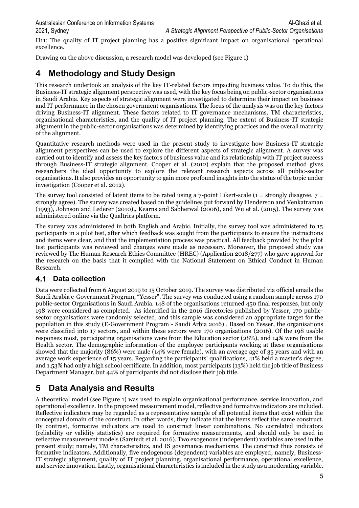2021, Sydney *A Strategic Alignment Perspective of Public-Sector Organisations*

H11: The quality of IT project planning has a positive significant impact on organisational operational excellence.

Drawing on the above discussion, a research model was developed (see Figure 1)

# **4 Methodology and Study Design**

This research undertook an analysis of the key IT-related factors impacting business value. To do this, the Business-IT strategic alignment perspective was used, with the key focus being on public-sector organisations in Saudi Arabia. Key aspects of strategic alignment were investigated to determine their impact on business and IT performance in the chosen government organisations. The focus of the analysis was on the key factors driving Business-IT alignment. These factors related to IT governance mechanisms, TM characteristics, organisational characteristics, and the quality of IT project planning. The extent of Business-IT strategic alignment in the public-sector organisations was determined by identifying practices and the overall maturity of the alignment.

Quantitative research methods were used in the present study to investigate how Business-IT strategic alignment perspectives can be used to explore the different aspects of strategic alignment. A survey was carried out to identify and assess the key factors of business value and its relationship with IT project success through Business-IT strategic alignment. Cooper et al. (2012) explain that the proposed method gives researchers the ideal opportunity to explore the relevant research aspects across all public-sector organisations. It also provides an opportunity to gain more profound insights into the status of the topic under investigation (Cooper et al. 2012).

The survey tool consisted of latent items to be rated using a  $7$ -point Likert-scale ( $1 =$  strongly disagree,  $7 =$ strongly agree). The survey was created based on the guidelines put forward by Henderson and Venkatraman (1993), Johnson and Lederer (2010),, Kearns and Sabherwal (2006), and Wu et al. (2015). The survey was administered online via the Qualtrics platform.

The survey was administered in both English and Arabic. Initially, the survey tool was administered to 15 participants in a pilot test, after which feedback was sought from the participants to ensure the instructions and items were clear, and that the implementation process was practical. All feedback provided by the pilot test participants was reviewed and changes were made as necessary. Moreover, the proposed study was reviewed by The Human Research Ethics Committee (HREC) (Application 2018/277) who gave approval for the research on the basis that it complied with the National Statement on Ethical Conduct in Human Research.

# **4.1 Data collection**

Data were collected from 6 August 2019 to 15 October 2019. The survey was distributed via official emails the Saudi Arabia e-Government Program, "Yesser". The survey was conducted using a random sample across 170 public-sector Organisations in Saudi Arabia. 148 of the organisations returned 450 final responses, but only 198 were considered as completed. As identified in the 2016 directories published by Yesser, 170 publicsector organisations were randomly selected, and this sample was considered an appropriate target for the population in this study (E-Government Program - Saudi Arbia 2016) . Based on Yesser, the organisations were classified into 17 sectors, and within these sectors were 170 organisations (2016). Of the 198 usable responses most, participating organisations were from the Education sector (28%), and 14% were from the Health sector. The demographic information of the employee participants working at these organisations showed that the majority (86%) were male (14% were female), with an average age of 35 years and with an average work experience of 15 years. Regarding the participants' qualifications, 41% held a master's degree, and 1.53% had only a high school certificate. In addition, most participants (13%) held the job title of Business Department Manager, but 44% of participants did not disclose their job title.

# **5 Data Analysis and Results**

A theoretical model (see Figure 1) was used to explain organisational performance, service innovation, and operational excellence. In the proposed measurement model, reflective and formative indicators are included. Reflective indicators may be regarded as a representative sample of all potential items that exist within the conceptual domain of the construct. In other words, they indicate that the items reflect the same construct. By contrast, formative indicators are used to construct linear combinations. No correlated indicators (reliability or validity statistics) are required for formative measurements, and should only be used in reflective measurement models (Sarstedt et al. 2016). Two exogenous (independent) variables are used in the present study; namely, TM characteristics, and IS governance mechanisms. The construct thus consists of formative indicators. Additionally, five endogenous (dependent) variables are employed; namely, Business-IT strategic alignment, quality of IT project planning, organisational performance, operational excellence, and service innovation. Lastly, organisational characteristics is included in the study as a moderating variable.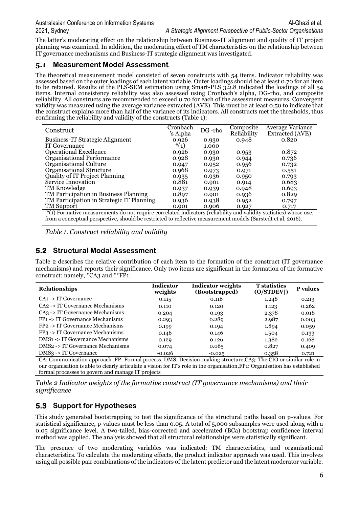The latter's moderating effect on the relationship between Business-IT alignment and quality of IT project planning was examined. In addition, the moderating effect of TM characteristics on the relationship between IT governance mechanisms and Business-IT strategic alignment was investigated.

#### **5.1 Measurement Model Assessment**

The theoretical measurement model consisted of seven constructs with 54 items. Indicator reliability was assessed based on the outer loadings of each latent variable. Outer loadings should be at least 0.70 for an item to be retained. Results of the PLS-SEM estimation using Smart-PLS 3.2.8 indicated the loadings of all 54 items. Internal consistency reliability was also assessed using Cronbach's alpha, DG-rho, and composite reliability. All constructs are recommended to exceed 0.70 for each of the assessment measures. Convergent validity was measured using the average variance extracted (AVE). This must be at least 0.50 to indicate that the construct explains more than half of the variance of its indicators. All constructs met the thresholds, thus confirming the reliability and validity of the constructs (Table 1):

| Construct                                                                                                         | Cronbach<br>'s Alpha | DG -rho | Composite<br>Reliability | <b>Average Variance</b><br>Extracted (AVE) |  |
|-------------------------------------------------------------------------------------------------------------------|----------------------|---------|--------------------------|--------------------------------------------|--|
| <b>Business-IT Strategic Alignment</b>                                                                            | 0.926                | 0.930   | 0.948                    | 0.820                                      |  |
| IT Governance                                                                                                     | $*(1)$               | 1.000   |                          |                                            |  |
| <b>Operational Excellence</b>                                                                                     | 0.926                | 0.930   | 0.953                    | 0.872                                      |  |
| Organisational Performance                                                                                        | 0.928                | 0.930   | 0.944                    | 0.736                                      |  |
| Organisational Culture                                                                                            | 0.947                | 0.952   | 0.956                    | 0.732                                      |  |
| Organisational Structure                                                                                          | 0.968                | 0.973   | 0.971                    | 0.551                                      |  |
| Quality of IT Project Planning                                                                                    | 0.935                | 0.936   | 0.950                    | 0.793                                      |  |
| Service Innovation                                                                                                | 0.881                | 0.901   | 0.914                    | 0.683                                      |  |
| TM Knowledge                                                                                                      | 0.937                | 0.939   | 0.948                    | 0.693                                      |  |
| TM Participation in Business Planning                                                                             | 0.897                | 0.901   | 0.936                    | 0.829                                      |  |
| TM Participation in Strategic IT Planning                                                                         | 0.936                | 0.938   | 0.952                    | 0.797                                      |  |
| TM Support                                                                                                        | 0.901                | 0.906   | 0.927                    | 0.717                                      |  |
| *(1) Formative measurements do not require correlated indicators (reliability and validity statistics) whose use, |                      |         |                          |                                            |  |

from a conceptual perspective, should be restricted to reflective measurement models (Sarstedt et al. 2016).

*Table 1. Construct reliability and validity*

### **5.2 Structural Modal Assessment**

Table 2 describes the relative contribution of each item to the formation of the construct (IT governance mechanisms) and reports their significance. Only two items are significant in the formation of the formative construct: namely, \*CA3 and \*\*FP1:

| <b>Relationships</b>                       | <b>Indicator</b><br>weights | <b>Indicator weights</b><br>(Bootstrapped) | <b>T</b> statistics<br>(O/STDEV)) | P values |
|--------------------------------------------|-----------------------------|--------------------------------------------|-----------------------------------|----------|
| $CA1 - > IT$ Governance                    | 0.115                       | 0.116                                      | 1.248                             | 0.213    |
| CA2 -> IT Governance Mechanisms            | 0.110                       | 0.120                                      | 1.123                             | 0.262    |
| $CA3 \rightarrow IT$ Governance Mechanisms | 0.204                       | 0.193                                      | 2.378                             | 0.018    |
| FP1 -> IT Governance Mechanisms            | 0.293                       | 0.289                                      | 2.987                             | 0.003    |
| FP2 -> IT Governance Mechanisms            | 0.199                       | 0.194                                      | 1.894                             | 0.059    |
| $FP3$ -> IT Governance Mechanisms          | 0.146                       | 0.146                                      | 1.504                             | 0.133    |
| <b>DMS1 -&gt; IT Governance Mechanisms</b> | 0.129                       | 0.126                                      | 1.382                             | 0.168    |
| DMS2 -> IT Governance Mechanisms           | 0.074                       | 0.065                                      | 0.827                             | 0.409    |
| $DMS3$ -> IT Governance                    | $-0.026$                    | $-0.025$                                   | 0.358                             | 0.721    |

CA: Communication approach ,FP: Formal process, DMS: Decision-making structure,CA3: The CIO or similar role in our organisation is able to clearly articulate a vision for IT's role in the organisation,FP1: Organisation has established formal processes to govern and manage IT projects

*Table 2 Indicator weights of the formative construct (IT governance mechanisms) and their significance*

# **5.3 Support for Hypotheses**

This study generated bootstrapping to test the significance of the structural paths based on p-values. For statistical significance, p-values must be less than 0.05. A total of 5,000 subsamples were used along with a 0.05 significance level. A two-tailed, bias-corrected and accelerated (BCa) bootstrap confidence interval method was applied. The analysis showed that all structural relationships were statistically significant.

The presence of two moderating variables was indicated: TM characteristics, and organisational characteristics. To calculate the moderating effects, the product indicator approach was used. This involves using all possible pair combinations of the indicators of the latent predictor and the latent moderator variable.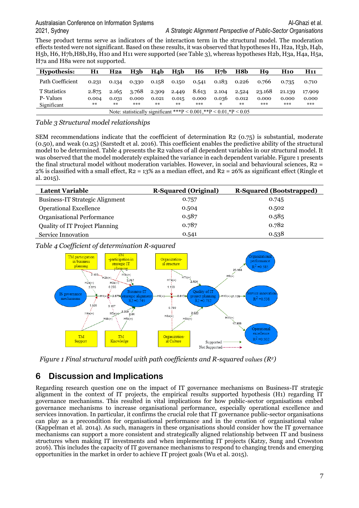These product terms serve as indicators of the interaction term in the structural model. The moderation effects tested were not significant. Based on these results, it was observed that hypotheses H1, H2a, H3b, H4b, H5b, H6, H7b,H8b,H9, H10 and H11 were supported (see Table 3), whereas hypotheses H2b, H3a, H4a, H5a, H7a and H8a were not supported.

| Hypothesis:                                                               | H1    | H2a   | H3b   | H <sub>4</sub> b | H <sub>5</sub> b | <b>H6</b> | H <sub>7</sub> b | H8b   | Ho     | <b>H</b> 10 | H11    |
|---------------------------------------------------------------------------|-------|-------|-------|------------------|------------------|-----------|------------------|-------|--------|-------------|--------|
| Path Coefficient                                                          | 0.231 | 0.134 | 0.330 | 0.158            | 0.150            | 0.541     | 0.183            | 0.226 | 0.766  | 0.735       | 0.710  |
| T Statistics                                                              | 2.875 | 2.165 | 3.768 | 2.309            | 2.449            | 8.613     | 2.104            | 2.524 | 23.168 | 21.139      | 17.909 |
| P-Values                                                                  | 0.004 | 0.031 | 0.000 | 0.021            | 0.015            | 0.000     | 0.036            | 0.012 | 0.000  | 0.000       | 0.000  |
| Significant                                                               | $**$  | $**$  | ***   | **               | $**$             | ***       | ⋇                | $**$  | ***    | ***         | ***    |
| Note: statistically significant ***P < $0.001$ ,**P < $0.01$ ,*P < $0.05$ |       |       |       |                  |                  |           |                  |       |        |             |        |

#### *Table 3 Structural model relationships*

SEM recommendations indicate that the coefficient of determination R2 (0.75) is substantial, moderate (0.50), and weak (0.25) (Sarstedt et al. 2016). This coefficient enables the predictive ability of the structural model to be determined. Table 4 presents the R2 values of all dependent variables in our structural model. It was observed that the model moderately explained the variance in each dependent variable. Figure 1 presents the final structural model without moderation variables. However, in social and behavioural sciences,  $R_2 =$  $2\%$  is classified with a small effect, R2 = 13% as a median effect, and R2 = 26% as significant effect (Ringle et al. 2015).

| <b>Latent Variable</b>                 | <b>R-Squared (Original)</b> | <b>R-Squared (Bootstrapped)</b> |
|----------------------------------------|-----------------------------|---------------------------------|
| <b>Business-IT Strategic Alignment</b> | 0.757                       | 0.745                           |
| <b>Operational Excellence</b>          | 0.504                       | 0.502                           |
| Organisational Performance             | 0.587                       | 0.585                           |
| <b>Quality of IT Project Planning</b>  | 0.787                       | 0.782                           |
| Service Innovation                     | 0.541                       | 0.538                           |

*Table 4 Coefficient of determination R-squared*



*Figure 1 Final structural model with path coefficients and R-squared values*  $(R^2)$ 

# **6 Discussion and Implications**

Regarding research question one on the impact of IT governance mechanisms on Business-IT strategic alignment in the context of IT projects, the empirical results supported hypothesis (H1) regarding IT governance mechanisms. This resulted in vital implications for how public-sector organisations embed governance mechanisms to increase organisational performance, especially operational excellence and services innovation. In particular, it confirms the crucial role that IT governance public-sector organisations can play as a precondition for organisational performance and in the creation of organisational value (Kappelman et al. 2014). As such, managers in these organisations should consider how the IT governance mechanisms can support a more consistent and strategically aligned relationship between IT and business structures when making IT investments and when implementing IT projects (Katzy, Sung and Crowston 2016). This includes the capacity of IT governance mechanisms to respond to changing trends and emerging opportunities in the market in order to achieve IT project goals (Wu et al. 2015).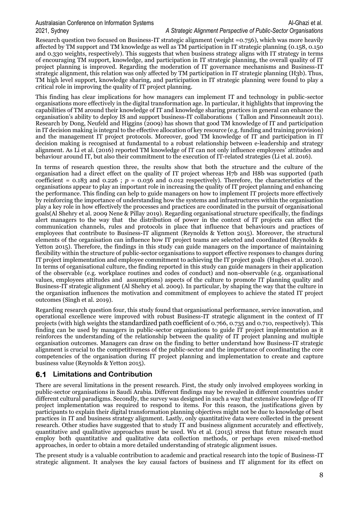#### Australasian Conference on Information Systems Al-Ghazi et al. Al-Ghazi et al. 2021, Sydney *A Strategic Alignment Perspective of Public-Sector Organisations*

# Research question two focused on Business-IT strategic alignment (weight =0.756), which was more heavily

affected by TM support and TM knowledge as well as TM participation in IT strategic planning (0.158, 0.150 and 0.330 weights, respectively). This suggests that when business strategy aligns with IT strategy in terms of encouraging TM support, knowledge, and participation in IT strategic planning, the overall quality of IT project planning is improved. Regarding the moderation of IT governance mechanisms and Business-IT strategic alignment, this relation was only affected by TM participation in IT strategic planning (H3b). Thus, TM high level support, knowledge sharing, and participation in IT strategic planning were found to play a critical role in improving the quality of IT project planning.

This finding has clear implications for how managers can implement IT and technology in public-sector organisations more effectively in the digital transformation age. In particular, it highlights that improving the capabilities of TM around their knowledge of IT and knowledge sharing practices in general can enhance the organisation's ability to deploy IS and support business-IT collaborations ( Tallon and Pinsonneault 2011). Research by Dong, Neufeld and Higgins (2009) has shown that good TM knowledge of IT and participation in IT decision making is integral to the effective allocation of key resource (e.g. funding and training provision) and the management IT project protocols. Moreover, good TM knowledge of IT and participation in IT decision making is recognised at fundamental to a robust relationship between e-leadership and strategy alignment. As Li et al. (2016) reported TM knowledge of IT can not only influence employees' attitudes and behaviour around IT, but also their commitment to the execution of IT-related strategies (Li et al. 2016).

In terms of research question three, the results show that both the structure and the culture of the organisation had a direct effect on the quality of IT project whereas H7b and H8b was supported (path coefficient =  $0.183$  and  $0.226$ ;  $p = 0.036$  and  $0.012$  respectively). Therefore, the characteristics of the organisations appear to play an important role in increasing the quality of IT project planning and enhancing the performance. This finding can help to guide managers on how to implement IT projects more effectively by reinforcing the importance of understanding how the systems and infrastructures within the organisation play a key role in how effectively the processes and practices are coordinated in the pursuit of organisational goals(Al Shehry et al. 2009 Nene & Pillay 2019). Regarding organisational structure specifically, the findings alert managers to the way that the distribution of power in the context of IT projects can affect the communication channels, rules and protocols in place that influence that behaviours and practices of employees that contribute to Business-IT alignment (Reynolds & Yetton 2015). Moreover, the structural elements of the organisation can influence how IT project teams are selected and coordinated (Reynolds & Yetton 2015). Therefore, the findings in this study can guide managers on the importance of maintaining flexibility within the structure of public-sector organisations to support effective responses to changes during IT project implementation and employee commitment to achieving the IT project goals (Hughes et al. 2020). In terms of organisational culture, the finding reported in this study can guide managers in their application of the observable (e.g. workplace routines and codes of conduct) and non-observable (e.g. organisational values, employees attitudes and assumptions) aspects of the culture to promote IT planning quality and Business-IT strategic alignment (Al Shehry et al. 2009). In particular, by shaping the way that the culture in the organisation influences the motivation and commitment of employees to achieve the stated IT project outcomes (Singh et al. 2019).

Regarding research question four, this study found that organisational performance, service innovation, and operational excellence were improved with robust Business-IT strategic alignment in the context of IT projects (with high weights the standardized path coefficient of 0.766, 0.735 and 0.710, respectively). This finding can be used by managers in public-sector organisations to guide IT project implementation as it reinforces the understanding of the relationship between the quality of IT project planning and multiple organisation outcomes. Managers can draw on the finding to better understand how Business-IT strategic alignment is crucial to the competitiveness of the public-sector and the importance of coordinating the core competencies of the organisation during IT project planning and implementation to create and capture business value (Reynolds & Yetton 2015).

#### **6.1 Limitations and Contribution**

There are several limitations in the present research. First, the study only involved employees working in public-sector organisations in Saudi Arabia. Different findings may be revealed in different countries under different cultural paradigms. Secondly, the survey was designed in such a way that extensive knowledge of IT project implementation was required to respond to items. For this reason, the justifications given by participants to explain their digital transformation planning objectives might not be due to knowledge of best practices in IT and business strategy alignment. Lastly, only quantitative data were collected in the present research. Other studies have suggested that to study IT and business alignment accurately and effectively, quantitative and qualitative approaches must be used. Wu et al. (2015) stress that future research must employ both quantitative and qualitative data collection methods, or perhaps even mixed-method approaches, in order to obtain a more detailed understanding of strategic alignment issues.

The present study is a valuable contribution to academic and practical research into the topic of Business-IT strategic alignment. It analyses the key causal factors of business and IT alignment for its effect on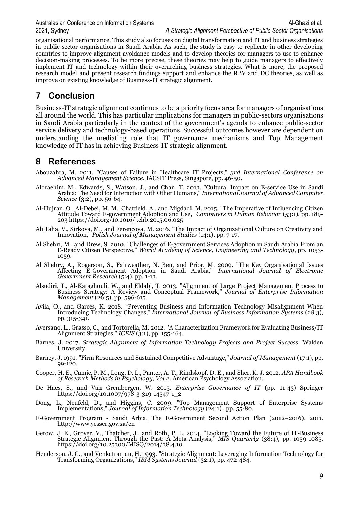organisational performance. This study also focuses on digital transformation and IT and business strategies in public-sector organisations in Saudi Arabia. As such, the study is easy to replicate in other developing countries to improve alignment avoidance models and to develop theories for managers to use to enhance decision-making processes. To be more precise, these theories may help to guide managers to effectively implement IT and technology within their overarching business strategies. What is more, the proposed research model and present research findings support and enhance the RBV and DC theories, as well as improve on existing knowledge of Business-IT strategic alignment.

# **7 Conclusion**

Business-IT strategic alignment continues to be a priority focus area for managers of organisations all around the world. This has particular implications for managers in public-sectors organisations in Saudi Arabia particularly in the context of the government's agenda to enhance public-sector service delivery and technology-based operations. Successful outcomes however are dependent on understanding the mediating role that IT governance mechanisms and Top Management knowledge of IT has in achieving Business-IT strategic alignment.

# **8 References**

- Abouzahra, M. 2011. "Causes of Failure in Healthcare IT Projects," *3rd International Conference on Advanced Management Science*, IACSIT Press, Singapore, pp. 46-50.
- Aldraehim, M., Edwards, S., Watson, J., and Chan, T. 2013. "Cultural Impact on E-service Use in Saudi Arabia: The Need for Interaction with Other Humans," *International Journal of Advanced Computer Science* (3:2), pp. 56-64.
- Al-Hujran, O., Al-Debei, M. M., Chatfield, A., and Migdadi, M. 2015. "The Imperative of Influencing Citizen Attitude Toward E-government Adoption and Use," *Computers in Human Behavior* (53:1), pp. 189- 203 https://doi.org/10.1016/j.chb.2015.06.025
- Ali Taha, V., Sirkova, M., and Ferencova, M. 2016. "The Impact of Organizational Culture on Creativity and Innovation," *Polish Journal of Management Studies* (14:1), pp. 7-17.
- Al Shehri, M., and Drew, S. 2010. "Challenges of E-government Services Adoption in Saudi Arabia From an E-Ready Citizen Perspective," *World Academy of Science, Engineering and Technology*, pp. 1053- 1059.
- Al Shehry, A., Rogerson, S., Fairweather, N. Ben, and Prior, M. 2009. "The Key Organisational Issues Affecting E-Government Adoption in Saudi Arabia," *International Journal of Electronic Government Research* (5:4), pp. 1-13.
- Alsudiri, T., Al-Karaghouli, W., and Eldabi, T. 2013. "Alignment of Large Project Management Process to Business Strategy: A Review and Conceptual Framework," *Journal of Enterprise Information Management* (26:5), pp. 596-615.
- Avila, O., and Garcés, K. 2018. "Preventing Business and Information Technology Misalignment When Introducing Technology Changes," *International Journal of Business Information Systems* (*28*:3), pp. 315-341.
- Aversano, L., Grasso, C., and Tortorella, M. 2012. "A Characterization Framework for Evaluating Business/IT Alignment Strategies," *ICEIS* (3:1), pp. 155-164.
- Barnes, J. 2017. *Strategic Alignment of Information Technology Projects and Project Success*. Walden University.
- Barney, J. 1991. "Firm Resources and Sustained Competitive Advantage," *Journal of Management* (17:1), pp. 99-120.
- Cooper, H. E., Camic, P. M., Long, D. L., Panter, A. T., Rindskopf, D. E., and Sher, K. J. 2012. *APA Handbook of Research Methods in Psychology*, *Vol 2*. American Psychology Association.
- De Haes, S., and Van Grembergen, W. 2015. *Enterprise Governance of IT* (pp. 11-43) Springer https://doi.org/10.1007/978-3-319-14547-1\_2
- Dong, L., Neufeld, D., and Higgins, C. 2009. "Top Management Support of Enterprise Systems Implementations," *Journal of Information Technology* (24:1) , pp. 55-80.
- E-Government Program Saudi Arbia, The E-Government Second Action Plan (2012–2016). 2011. http://www.yesser.gov.sa/en
- Gerow, J. E., Grover, V., Thatcher, J., and Roth, P. L. 2014. "Looking Toward the Future of IT-Business Strategic Alignment Through the Past: A Meta-Analysis," *MIS Quarterly* (38:4), pp. 1059-1085. https://doi.org/10.25300/MISQ/2014/38.4.10
- Henderson, J. C., and Venkatraman, H. 1993. "Strategic Alignment: Leveraging Information Technology for Transforming Organizations," *IBM Systems Journal* (32:1), pp. 472-484.